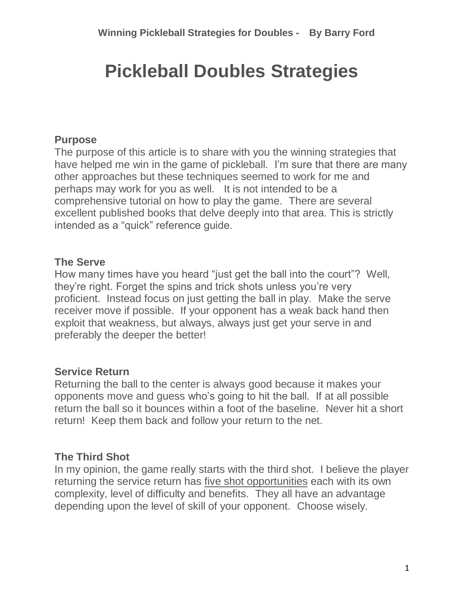# **Pickleball Doubles Strategies**

## **Purpose**

The purpose of this article is to share with you the winning strategies that have helped me win in the game of pickleball. I'm sure that there are many other approaches but these techniques seemed to work for me and perhaps may work for you as well. It is not intended to be a comprehensive tutorial on how to play the game. There are several excellent published books that delve deeply into that area. This is strictly intended as a "quick" reference guide.

## **The Serve**

How many times have you heard "just get the ball into the court"? Well, they're right. Forget the spins and trick shots unless you're very proficient. Instead focus on just getting the ball in play. Make the serve receiver move if possible. If your opponent has a weak back hand then exploit that weakness, but always, always just get your serve in and preferably the deeper the better!

## **Service Return**

Returning the ball to the center is always good because it makes your opponents move and guess who's going to hit the ball. If at all possible return the ball so it bounces within a foot of the baseline. Never hit a short return! Keep them back and follow your return to the net.

## **The Third Shot**

In my opinion, the game really starts with the third shot. I believe the player returning the service return has five shot opportunities each with its own complexity, level of difficulty and benefits. They all have an advantage depending upon the level of skill of your opponent. Choose wisely.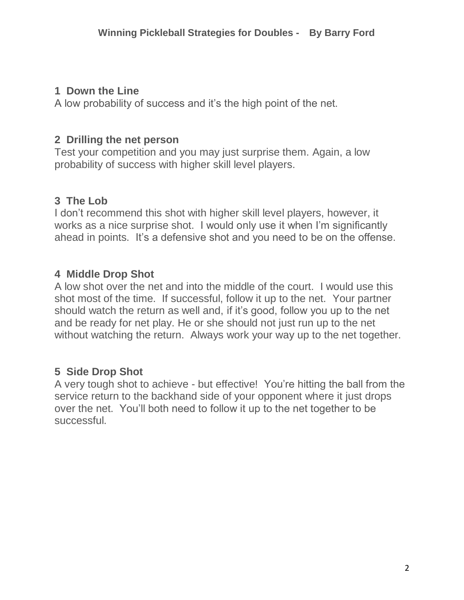## **1 Down the Line**

A low probability of success and it's the high point of the net.

## **2 Drilling the net person**

Test your competition and you may just surprise them. Again, a low probability of success with higher skill level players.

# **3 The Lob**

I don't recommend this shot with higher skill level players, however, it works as a nice surprise shot. I would only use it when I'm significantly ahead in points. It's a defensive shot and you need to be on the offense.

## **4 Middle Drop Shot**

A low shot over the net and into the middle of the court. I would use this shot most of the time. If successful, follow it up to the net. Your partner should watch the return as well and, if it's good, follow you up to the net and be ready for net play. He or she should not just run up to the net without watching the return. Always work your way up to the net together.

# **5 Side Drop Shot**

A very tough shot to achieve - but effective! You're hitting the ball from the service return to the backhand side of your opponent where it just drops over the net. You'll both need to follow it up to the net together to be successful.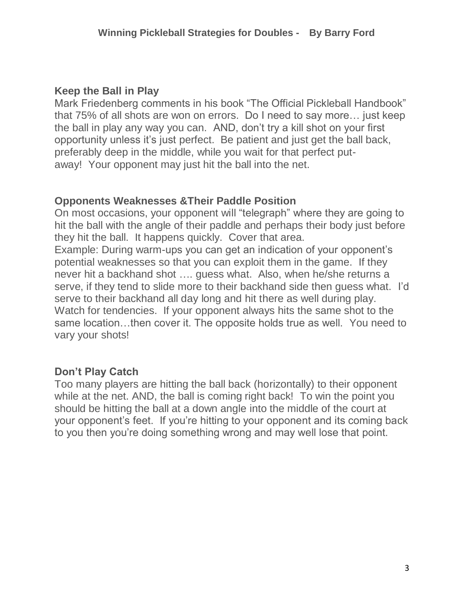## **Keep the Ball in Play**

Mark Friedenberg comments in his book "The Official Pickleball Handbook" that 75% of all shots are won on errors. Do I need to say more… just keep the ball in play any way you can. AND, don't try a kill shot on your first opportunity unless it's just perfect. Be patient and just get the ball back, preferably deep in the middle, while you wait for that perfect putaway! Your opponent may just hit the ball into the net.

## **Opponents Weaknesses &Their Paddle Position**

On most occasions, your opponent will "telegraph" where they are going to hit the ball with the angle of their paddle and perhaps their body just before they hit the ball. It happens quickly. Cover that area.

Example: During warm-ups you can get an indication of your opponent's potential weaknesses so that you can exploit them in the game. If they never hit a backhand shot …. guess what. Also, when he/she returns a serve, if they tend to slide more to their backhand side then guess what. I'd serve to their backhand all day long and hit there as well during play. Watch for tendencies. If your opponent always hits the same shot to the same location…then cover it. The opposite holds true as well. You need to vary your shots!

## **Don't Play Catch**

Too many players are hitting the ball back (horizontally) to their opponent while at the net. AND, the ball is coming right back! To win the point you should be hitting the ball at a down angle into the middle of the court at your opponent's feet. If you're hitting to your opponent and its coming back to you then you're doing something wrong and may well lose that point.